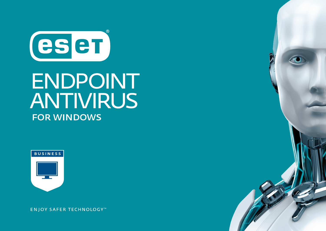

# **ENDPOINT** ANTIVIRUS **FOR WINDOWS**



**ENJOY SAFER TECHNOLOGY™** 

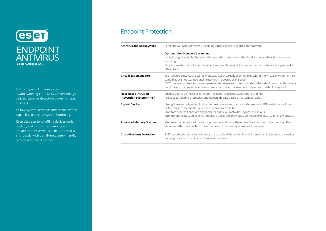

ESET Endpoint Antivirus with award-winning ESET NOD32<sup>®</sup> technology delivers superior detection power for your business.

Its low system demands and virtualization capability keep your system humming.

Keep the security of offline devices under control, and customize scanning and update options as you see fit. Control it all effortlessly with our all-new, user-friendly remote administrator tool.

#### Endpoint Protection

| <b>Antivirus and Antispyware</b>                        | Eliminates all types of threats, including viruses, rootkits, worms and spyware.                                                                                                                                                                                                                                                                                                            |
|---------------------------------------------------------|---------------------------------------------------------------------------------------------------------------------------------------------------------------------------------------------------------------------------------------------------------------------------------------------------------------------------------------------------------------------------------------------|
|                                                         | Optional cloud-powered scanning:<br>Whitelisting of safe files based on file reputation database in the cloud for better detection and faster<br>scanning.<br>Only information about executable and archive files is sent to the cloud - such data are not personally<br>attributable.                                                                                                      |
| Virtualization Support                                  | ESET Shared Local Cache stores metadata about already scanned files within the virtual environment so<br>same files are not scanned again resulting in boosted scan speed.<br>ESET module updates and virus signatures database are stored outside of the default location, thus these<br>don't have to be downloaded every time after the virtual machine is reverted to default snapshot. |
| <b>Host-Based Intrusion</b><br>Prevention System (HIPS) | Enables you to define rules for system registry, processes, applications and files.<br>Provides tampering protection and detects threats based on system behavior.                                                                                                                                                                                                                          |
| <b>Exploit Blocker</b>                                  | Strengthens security of applications on users' systems, such as web browsers, PDF readers, email client<br>or MS office components, which are commonly exploited.<br>Monitors process behaviors and looks for suspicious activities typical of exploits.<br>Strengthens protection against targeted attacks and previously unknown exploits, i.e. zero-day attacks.                         |
| <b>Advanced Memory Scanner</b>                          | Monitors the behavior of malicious processes and scans them once they decloak in the memory. This<br>allows for effective infection prevention even from heavily obfuscated malware.                                                                                                                                                                                                        |
| <b>Cross-Platform Protection</b>                        | ESET security solutions for Windows are capable of detecting Mac OS threats and vice-versa, delivering<br>better protection in multi-platform environments.                                                                                                                                                                                                                                 |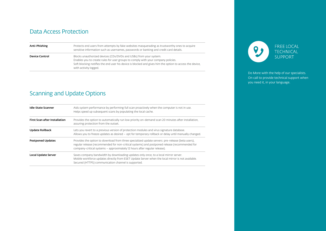#### Data Access Protection

| Anti-Phishing         | Protects end users from attempts by fake websites masquerading as trustworthy ones to acquire<br>sensitive information such as usernames, passwords or banking and credit card details.                                                                                                     |
|-----------------------|---------------------------------------------------------------------------------------------------------------------------------------------------------------------------------------------------------------------------------------------------------------------------------------------|
| <b>Device Control</b> | Blocks unauthorized devices (CDs/DVDs and USBs) from your system.<br>Enables you to create rules for user groups to comply with your company policies.<br>Soft blocking notifies the end user his device is blocked and gives him the option to access the device,<br>with activity logged. |

## Scanning and Update Options

| <b>Idle-State Scanner</b>            | Aids system performance by performing full scan proactively when the computer is not in use.<br>Helps speed up subsequent scans by populating the local cache.                                                                                                                 |
|--------------------------------------|--------------------------------------------------------------------------------------------------------------------------------------------------------------------------------------------------------------------------------------------------------------------------------|
| <b>First Scan after Installation</b> | Provides the option to automatically run low priority on-demand scan 20 minutes after installation,<br>assuring protection from the outset.                                                                                                                                    |
| Update Rollback                      | Lets you revert to a previous version of protection modules and virus signature database.<br>Allows you to freeze updates as desired – opt for temporary rollback or delay until manually changed.                                                                             |
| <b>Postponed Updates</b>             | Provides the option to download from three specialized update servers: pre-release (beta users),<br>regular release (recommended for non-critical systems) and postponed release (recommended for<br>company-critical systems - approximately 12 hours after regular release). |
| Local Update Server                  | Saves company bandwidth by downloading updates only once, to a local mirror server.<br>Mobile workforce updates directly from ESET Update Server when the local mirror is not available.<br>Secured (HTTPS) communication channel is supported.                                |



Do More with the help of our specialists. On call to provide technical support when you need it, in your language.